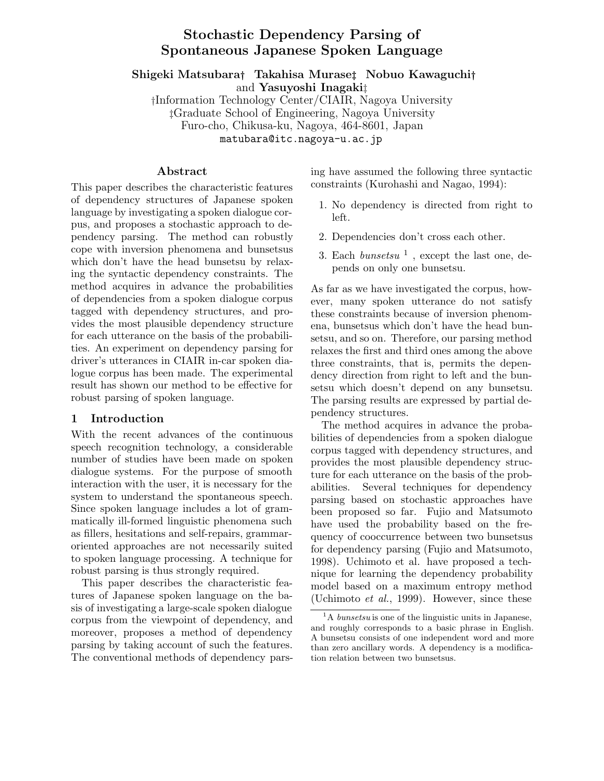# **Stochastic Dependency Parsing of Spontaneous Japanese Spoken Language**

**Shigeki Matsubara***†* **Takahisa Murase***‡* **Nobuo Kawaguchi***†* and **Yasuyoshi Inagaki**‡

†Information Technology Center/CIAIR, Nagoya University ‡Graduate School of Engineering, Nagoya University Furo-cho, Chikusa-ku, Nagoya, 464-8601, Japan matubara@itc.nagoya-u.ac.jp

#### **Abstract**

This paper describes the characteristic features of dependency structures of Japanese spoken language by investigating a spoken dialogue corpus, and proposes a stochastic approach to dependency parsing. The method can robustly cope with inversion phenomena and bunsetsus which don't have the head bunsetsu by relaxing the syntactic dependency constraints. The method acquires in advance the probabilities of dependencies from a spoken dialogue corpus tagged with dependency structures, and provides the most plausible dependency structure for each utterance on the basis of the probabilities. An experiment on dependency parsing for driver's utterances in CIAIR in-car spoken dialogue corpus has been made. The experimental result has shown our method to be effective for robust parsing of spoken language.

#### **1 Introduction**

With the recent advances of the continuous speech recognition technology, a considerable number of studies have been made on spoken dialogue systems. For the purpose of smooth interaction with the user, it is necessary for the system to understand the spontaneous speech. Since spoken language includes a lot of grammatically ill-formed linguistic phenomena such as fillers, hesitations and self-repairs, grammaroriented approaches are not necessarily suited to spoken language processing. A technique for robust parsing is thus strongly required.

This paper describes the characteristic features of Japanese spoken language on the basis of investigating a large-scale spoken dialogue corpus from the viewpoint of dependency, and moreover, proposes a method of dependency parsing by taking account of such the features. The conventional methods of dependency parsing have assumed the following three syntactic constraints (Kurohashi and Nagao, 1994):

- 1. No dependency is directed from right to left.
- 2. Dependencies don't cross each other.
- 3. Each *bunsetsu* <sup>1</sup> , except the last one, depends on only one bunsetsu.

As far as we have investigated the corpus, however, many spoken utterance do not satisfy these constraints because of inversion phenomena, bunsetsus which don't have the head bunsetsu, and so on. Therefore, our parsing method relaxes the first and third ones among the above three constraints, that is, permits the dependency direction from right to left and the bunsetsu which doesn't depend on any bunsetsu. The parsing results are expressed by partial dependency structures.

The method acquires in advance the probabilities of dependencies from a spoken dialogue corpus tagged with dependency structures, and provides the most plausible dependency structure for each utterance on the basis of the probabilities. Several techniques for dependency parsing based on stochastic approaches have been proposed so far. Fujio and Matsumoto have used the probability based on the frequency of cooccurrence between two bunsetsus for dependency parsing (Fujio and Matsumoto, 1998). Uchimoto et al. have proposed a technique for learning the dependency probability model based on a maximum entropy method (Uchimoto *et al.*, 1999). However, since these

<sup>&</sup>lt;sup>1</sup>A *bunsetsu* is one of the linguistic units in Japanese, and roughly corresponds to a basic phrase in English. A bunsetsu consists of one independent word and more than zero ancillary words. A dependency is a modification relation between two bunsetsus.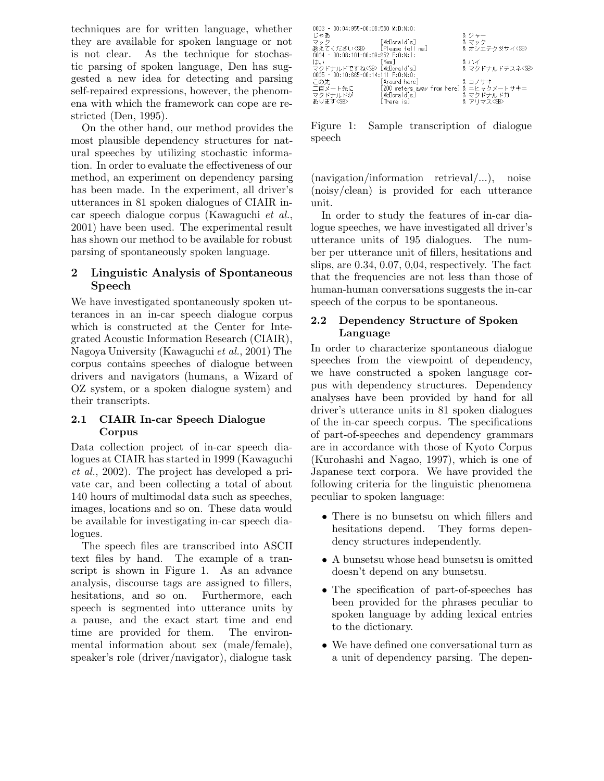techniques are for written language, whether they are available for spoken language or not is not clear. As the technique for stochastic parsing of spoken language, Den has suggested a new idea for detecting and parsing self-repaired expressions, however, the phenomena with which the framework can cope are restricted (Den, 1995).

On the other hand, our method provides the most plausible dependency structures for natural speeches by utilizing stochastic information. In order to evaluate the effectiveness of our method, an experiment on dependency parsing has been made. In the experiment, all driver's utterances in 81 spoken dialogues of CIAIR incar speech dialogue corpus (Kawaguchi *et al.*, 2001) have been used. The experimental result has shown our method to be available for robust parsing of spontaneously spoken language.

## **2 Linguistic Analysis of Spontaneous Speech**

We have investigated spontaneously spoken utterances in an in-car speech dialogue corpus which is constructed at the Center for Integrated Acoustic Information Research (CIAIR), Nagoya University (Kawaguchi *et al.*, 2001) The corpus contains speeches of dialogue between drivers and navigators (humans, a Wizard of OZ system, or a spoken dialogue system) and their transcripts.

### **2.1 CIAIR In-car Speech Dialogue Corpus**

Data collection project of in-car speech dialogues at CIAIR has started in 1999 (Kawaguchi *et al.*, 2002). The project has developed a private car, and been collecting a total of about 140 hours of multimodal data such as speeches, images, locations and so on. These data would be available for investigating in-car speech dialogues.

The speech files are transcribed into ASCII text files by hand. The example of a transcript is shown in Figure 1. As an advance analysis, discourse tags are assigned to fillers, hesitations, and so on. Furthermore, each speech is segmented into utterance units by a pause, and the exact start time and end time are provided for them. The environmental information about sex (male/female), speaker's role (driver/navigator), dialogue task

| $0.003 - 00:04:955 - 00:06:560$ M:D:N:O: |                                          |                       |
|------------------------------------------|------------------------------------------|-----------------------|
| じゃあ                                      |                                          | & ジャー                 |
| マック                                      | McDonald's]                              | &マック                  |
| 教えてください <sb> [Please tell me]</sb>       |                                          | & オシエテクダサイ <sb></sb>  |
| 0004 - 00:08:101-00:09:952 F:0:N:I:      |                                          |                       |
| ほい                                       | <b>TYes</b> 1                            | &ハイ                   |
| マクドナルドですね <sb> [McDonald's]</sb>         |                                          | & マクドナルドデスネ <sb></sb> |
| 0005 - 00:10:665-00:14:111 F:0:N:0:      |                                          |                       |
| この先        [Around here]                 |                                          | & コノサキ                |
| 二百メート先に                                  | [200 meters away from here] & ニヒャクメートサキニ |                       |
|                                          | マクドナルドが [McDonald's]                     | & マクドナルドガ             |
| あります <sb></sb>                           | [There is]                               | & アリマス <sb></sb>      |

Figure 1: Sample transcription of dialogue speech

(navigation/information retrieval/...), noise (noisy/clean) is provided for each utterance unit.

In order to study the features of in-car dialogue speeches, we have investigated all driver's utterance units of 195 dialogues. The number per utterance unit of fillers, hesitations and slips, are 0.34, 0.07, 0,04, respectively. The fact that the frequencies are not less than those of human-human conversations suggests the in-car speech of the corpus to be spontaneous.

### **2.2 Dependency Structure of Spoken Language**

In order to characterize spontaneous dialogue speeches from the viewpoint of dependency, we have constructed a spoken language corpus with dependency structures. Dependency analyses have been provided by hand for all driver's utterance units in 81 spoken dialogues of the in-car speech corpus. The specifications of part-of-speeches and dependency grammars are in accordance with those of Kyoto Corpus (Kurohashi and Nagao, 1997), which is one of Japanese text corpora. We have provided the following criteria for the linguistic phenomena peculiar to spoken language:

- There is no bunsetsu on which fillers and hesitations depend. They forms depen-They forms dependency structures independently.
- A bunsetsu whose head bunsetsu is omitted doesn't depend on any bunsetsu.
- The specification of part-of-speeches has been provided for the phrases peculiar to spoken language by adding lexical entries to the dictionary.
- We have defined one conversational turn as a unit of dependency parsing. The depen-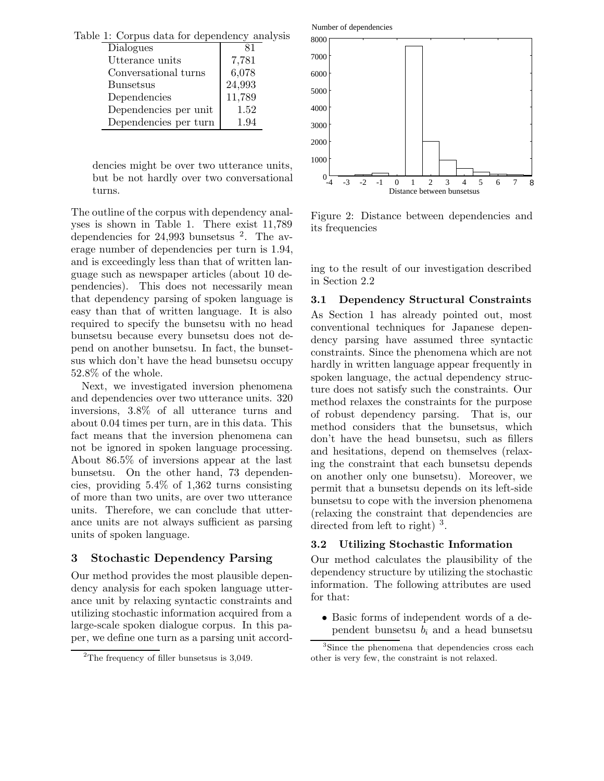| Table 1: Corpus data for dependency analysis |        |  |
|----------------------------------------------|--------|--|
| <b>Dialogues</b>                             |        |  |
| Utterance units                              | 7,781  |  |
| Conversational turns                         | 6,078  |  |
| <b>Bunsetsus</b>                             | 24,993 |  |
| Dependencies                                 | 11,789 |  |
| Dependencies per unit                        | 1.52   |  |
| Dependencies per turn                        | 1.94   |  |

dencies might be over two utterance units, but be not hardly over two conversational turns.

The outline of the corpus with dependency analyses is shown in Table 1. There exist 11,789 dependencies for 24,993 bunsetsus <sup>2</sup>. The average number of dependencies per turn is 1.94, and is exceedingly less than that of written language such as newspaper articles (about 10 dependencies). This does not necessarily mean that dependency parsing of spoken language is easy than that of written language. It is also required to specify the bunsetsu with no head bunsetsu because every bunsetsu does not depend on another bunsetsu. In fact, the bunsetsus which don't have the head bunsetsu occupy 52.8% of the whole.

Next, we investigated inversion phenomena and dependencies over two utterance units. 320 inversions, 3.8% of all utterance turns and about 0.04 times per turn, are in this data. This fact means that the inversion phenomena can not be ignored in spoken language processing. About 86.5% of inversions appear at the last bunsetsu. On the other hand, 73 dependencies, providing 5.4% of 1,362 turns consisting of more than two units, are over two utterance units. Therefore, we can conclude that utterance units are not always sufficient as parsing units of spoken language.

### **3 Stochastic Dependency Parsing**

Our method provides the most plausible dependency analysis for each spoken language utterance unit by relaxing syntactic constraints and utilizing stochastic information acquired from a large-scale spoken dialogue corpus. In this paper, we define one turn as a parsing unit accord-



Figure 2: Distance between dependencies and its frequencies

ing to the result of our investigation described in Section 2.2

#### **3.1 Dependency Structural Constraints**

As Section 1 has already pointed out, most conventional techniques for Japanese dependency parsing have assumed three syntactic constraints. Since the phenomena which are not hardly in written language appear frequently in spoken language, the actual dependency structure does not satisfy such the constraints. Our method relaxes the constraints for the purpose of robust dependency parsing. That is, our method considers that the bunsetsus, which don't have the head bunsetsu, such as fillers and hesitations, depend on themselves (relaxing the constraint that each bunsetsu depends on another only one bunsetsu). Moreover, we permit that a bunsetsu depends on its left-side bunsetsu to cope with the inversion phenomena (relaxing the constraint that dependencies are directed from left to right)  $3$ .

#### **3.2 Utilizing Stochastic Information**

Our method calculates the plausibility of the dependency structure by utilizing the stochastic information. The following attributes are used for that:

• Basic forms of independent words of a dependent bunsetsu  $b_i$  and a head bunsetsu

<sup>&</sup>lt;sup>2</sup>The frequency of filler bunsetsus is  $3,049$ .

<sup>&</sup>lt;sup>3</sup>Since the phenomena that dependencies cross each other is very few, the constraint is not relaxed.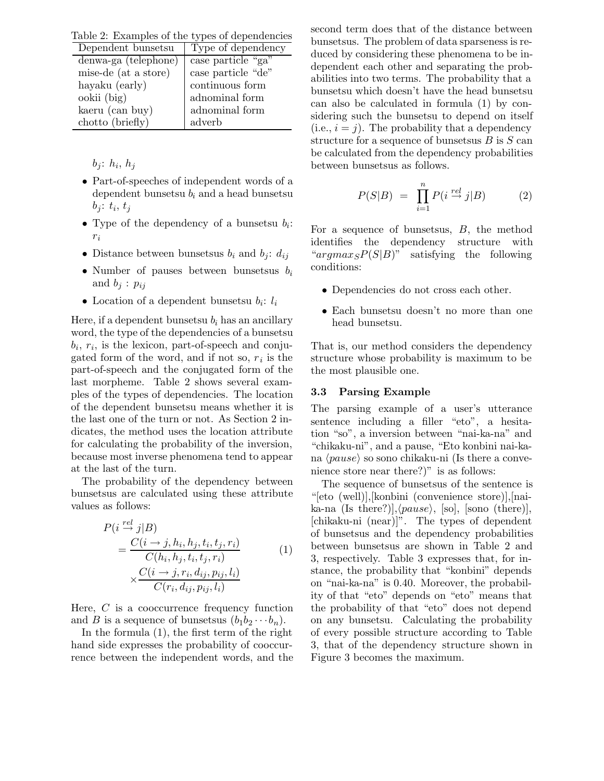Table 2: Examples of the types of dependencies

| $10000$ $\rightarrow$ $100000$ $\rightarrow$ $00000$ $\rightarrow$ $00000$ $\rightarrow$ $00000$ |                    |
|--------------------------------------------------------------------------------------------------|--------------------|
| Dependent bunsetsu                                                                               | Type of dependency |
| denwa-ga (telephone)                                                                             | case particle "ga" |
| mise-de (at a store)                                                                             | case particle "de" |
| hayaku (early)                                                                                   | continuous form    |
| ookii (big)                                                                                      | adnominal form     |
| kaeru (can buy)                                                                                  | adnominal form     |
| chotto (briefly)                                                                                 | adverb             |

 $b_j$ :  $h_i$ ,  $h_j$ 

- Part-of-speeches of independent words of a dependent bunsetsu *b<sup>i</sup>* and a head bunsetsu  $b_j$ :  $t_i$ ,  $t_j$
- Type of the dependency of a bunsetsu *bi*: *ri*
- Distance between bunsetsus  $b_i$  and  $b_j$ :  $d_{ij}$
- Number of pauses between bunsetsus *b<sup>i</sup>* and  $b_j$  :  $p_{ij}$
- Location of a dependent bunsetsu  $b_i$ :  $l_i$

Here, if a dependent bunsetsu  $b_i$  has an ancillary word, the type of the dependencies of a bunsetsu  $b_i$ ,  $r_i$ , is the lexicon, part-of-speech and conjugated form of the word, and if not so,  $r_i$  is the part-of-speech and the conjugated form of the last morpheme. Table 2 shows several examples of the types of dependencies. The location of the dependent bunsetsu means whether it is the last one of the turn or not. As Section 2 indicates, the method uses the location attribute for calculating the probability of the inversion, because most inverse phenomena tend to appear at the last of the turn.

The probability of the dependency between bunsetsus are calculated using these attribute values as follows:

$$
P(i \stackrel{rel}{\rightarrow} j|B) = \frac{C(i \rightarrow j, h_i, h_j, t_i, t_j, r_i)}{C(h_i, h_j, t_i, t_j, r_i)} \times \frac{C(i \rightarrow j, r_i, d_{ij}, p_{ij}, l_i)}{C(r_i, d_{ij}, p_{ij}, l_i)}
$$
(1)

Here, *C* is a cooccurrence frequency function and *B* is a sequence of bunsetsus  $(b_1b_2 \cdots b_n)$ .

In the formula (1), the first term of the right hand side expresses the probability of cooccurrence between the independent words, and the second term does that of the distance between bunsetsus. The problem of data sparseness is reduced by considering these phenomena to be independent each other and separating the probabilities into two terms. The probability that a bunsetsu which doesn't have the head bunsetsu can also be calculated in formula (1) by considering such the bunsetsu to depend on itself  $(i.e.,  $i = j$ ). The probability that a dependency$ structure for a sequence of bunsetsus *B* is *S* can be calculated from the dependency probabilities between bunsetsus as follows.

$$
P(S|B) = \prod_{i=1}^{n} P(i \stackrel{rel}{\to} j|B) \tag{2}
$$

For a sequence of bunsetsus, *B*, the method identifies the dependency structure with "*argmaxSP*(*S*|*B*)" satisfying the following conditions:

- Dependencies do not cross each other.
- Each bunsetsu doesn't no more than one head bunsetsu.

That is, our method considers the dependency structure whose probability is maximum to be the most plausible one.

#### **3.3 Parsing Example**

The parsing example of a user's utterance sentence including a filler "eto", a hesitation "so", a inversion between "nai-ka-na" and "chikaku-ni", and a pause, "Eto konbini nai-kana  $\langle pause \rangle$  so sono chikaku-ni (Is there a convenience store near there?)" is as follows:

The sequence of bunsetsus of the sentence is "[eto (well)],[konbini (convenience store)],[nai- $\text{ka-na (Is there?)}$ ,  $\langle pause \rangle$ , [so], [sono (there)], [chikaku-ni (near)]". The types of dependent of bunsetsus and the dependency probabilities between bunsetsus are shown in Table 2 and 3, respectively. Table 3 expresses that, for instance, the probability that "konbini" depends on "nai-ka-na" is 0.40. Moreover, the probability of that "eto" depends on "eto" means that the probability of that "eto" does not depend on any bunsetsu. Calculating the probability of every possible structure according to Table 3, that of the dependency structure shown in Figure 3 becomes the maximum.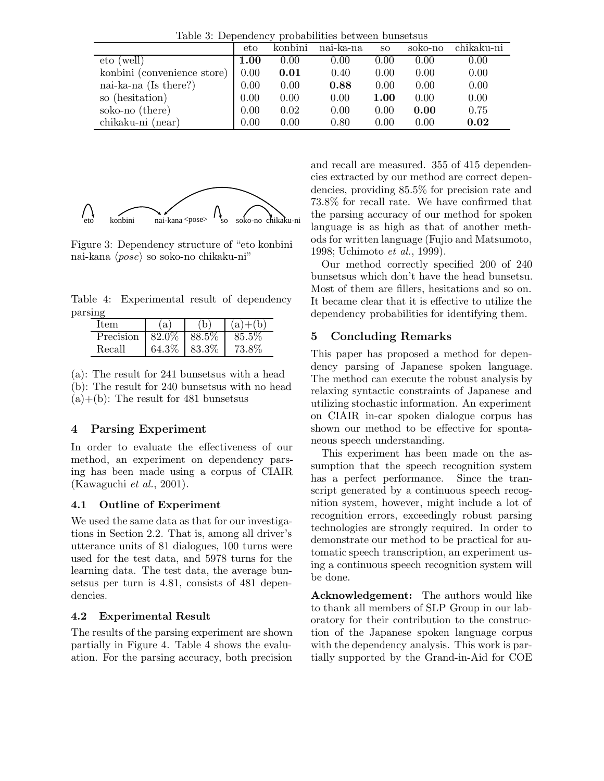Table 3: Dependency probabilities between bunsetsus

|                             | eto  | konbini | nai-ka-na | SO.  | soko-no | chikaku-ni |
|-----------------------------|------|---------|-----------|------|---------|------------|
| eto (well)                  | 1.00 | 0.00    | 0.00      | 0.00 | 0.00    | 0.00       |
| konbini (convenience store) | 0.00 | 0.01    | 0.40      | 0.00 | 0.00    | 0.00       |
| nai-ka-na (Is there?)       | 0.00 | 0.00    | 0.88      | 0.00 | 0.00    | 0.00       |
| so (hesitation)             | 0.00 | 0.00    | 0.00      | 1.00 | 0.00    | 0.00       |
| soko-no (there)             | 0.00 | 0.02    | 0.00      | 0.00 | 0.00    | 0.75       |
| chikaku-ni (near)           | 0.00 | 0.00    | 0.80      | 0.00 | 0.00    | 0.02       |



Figure 3: Dependency structure of "eto konbini nai-kana  $\langle pose \rangle$  so soko-no chikaku-ni"

Table 4: Experimental result of dependency parsing

| Item      | $\mathbf{a}$    | $(a)+(b)$ |
|-----------|-----------------|-----------|
| Precision | $82.0\%$ 88.5\% | 85.5%     |
| Recall    | 64.3% 83.3%     | 73.8%     |

(a): The result for 241 bunsetsus with a head (b): The result for 240 bunsetsus with no head  $(a)+(b)$ : The result for 481 bunsetsus

## **4 Parsing Experiment**

In order to evaluate the effectiveness of our method, an experiment on dependency parsing has been made using a corpus of CIAIR (Kawaguchi *et al.*, 2001).

### **4.1 Outline of Experiment**

We used the same data as that for our investigations in Section 2.2. That is, among all driver's utterance units of 81 dialogues, 100 turns were used for the test data, and 5978 turns for the learning data. The test data, the average bunsetsus per turn is 4.81, consists of 481 dependencies.

## **4.2 Experimental Result**

The results of the parsing experiment are shown partially in Figure 4. Table 4 shows the evaluation. For the parsing accuracy, both precision

and recall are measured. 355 of 415 dependencies extracted by our method are correct dependencies, providing 85.5% for precision rate and 73.8% for recall rate. We have confirmed that the parsing accuracy of our method for spoken language is as high as that of another methods for written language (Fujio and Matsumoto, 1998; Uchimoto *et al.*, 1999).

Our method correctly specified 200 of 240 bunsetsus which don't have the head bunsetsu. Most of them are fillers, hesitations and so on. It became clear that it is effective to utilize the dependency probabilities for identifying them.

## **5 Concluding Remarks**

This paper has proposed a method for dependency parsing of Japanese spoken language. The method can execute the robust analysis by relaxing syntactic constraints of Japanese and utilizing stochastic information. An experiment on CIAIR in-car spoken dialogue corpus has shown our method to be effective for spontaneous speech understanding.

This experiment has been made on the assumption that the speech recognition system has a perfect performance. Since the transcript generated by a continuous speech recognition system, however, might include a lot of recognition errors, exceedingly robust parsing technologies are strongly required. In order to demonstrate our method to be practical for automatic speech transcription, an experiment using a continuous speech recognition system will be done.

**Acknowledgement:** The authors would like to thank all members of SLP Group in our laboratory for their contribution to the construction of the Japanese spoken language corpus with the dependency analysis. This work is partially supported by the Grand-in-Aid for COE